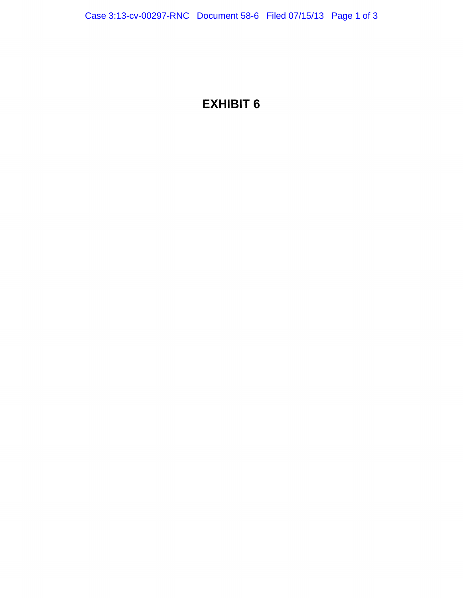## EXHIBIT 6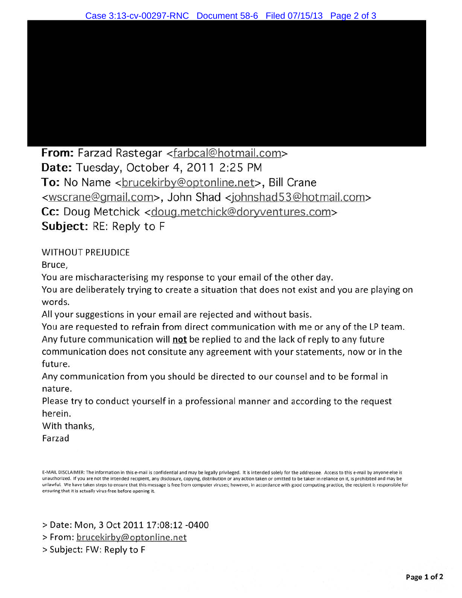From: Farzad Rastegar <farbcal@hotmail.com> Date: Tuesday, October 4, 2011 2:25 PM To: No Name <brucekirby@optonline.net>, Bill Crane <wscrane@gmail.com>, John Shad <johnshad53@hotmail.com> Cc: Doug Metchick <doug.metchick@doryventures.com> Subject: RE: Reply to F

WITHOUT PREJUDICE

Bruce,

You are mischaracterising my response to your email of the other day.

You are deliberately trying to create a situation that does not exist and you are playing on words.

All your suggestions in your email are rejected and without basis.

You are requested to refrain from direct communication with me or any of the LP team. Any future communication will not be replied to and the lack of reply to any future communication does not consitute any agreement with your statements, now or in the future.

Any communication from you should be directed to our counsel and to be formal in nature.

Please try to conduct yourself in a professional manner and according to the request herein.

With thanks,

Farzad

E-MAIL DISCLAIMER: The Information in this e-mail is confidential and may be legally privileged. It is intended solely for the addressee. Access to this e-mail by anyone else is unauthorized. If you are not the intended recipient, any disclosure, copying, distribution or any action taken or omitted to be taken in reliance on it, is prohibited and may be unlawful. We have taken steps to ensure that this message is free from computer viruses; however, in accordance with good computing practice, the recipient is responsible for ensuring that it is actually virus-free before opening it.

> Date: Mon, 3 Oct 2011 17:08:12 -0400

>From: brucekirby@optonline.net

>Subject: FW: Reply to F